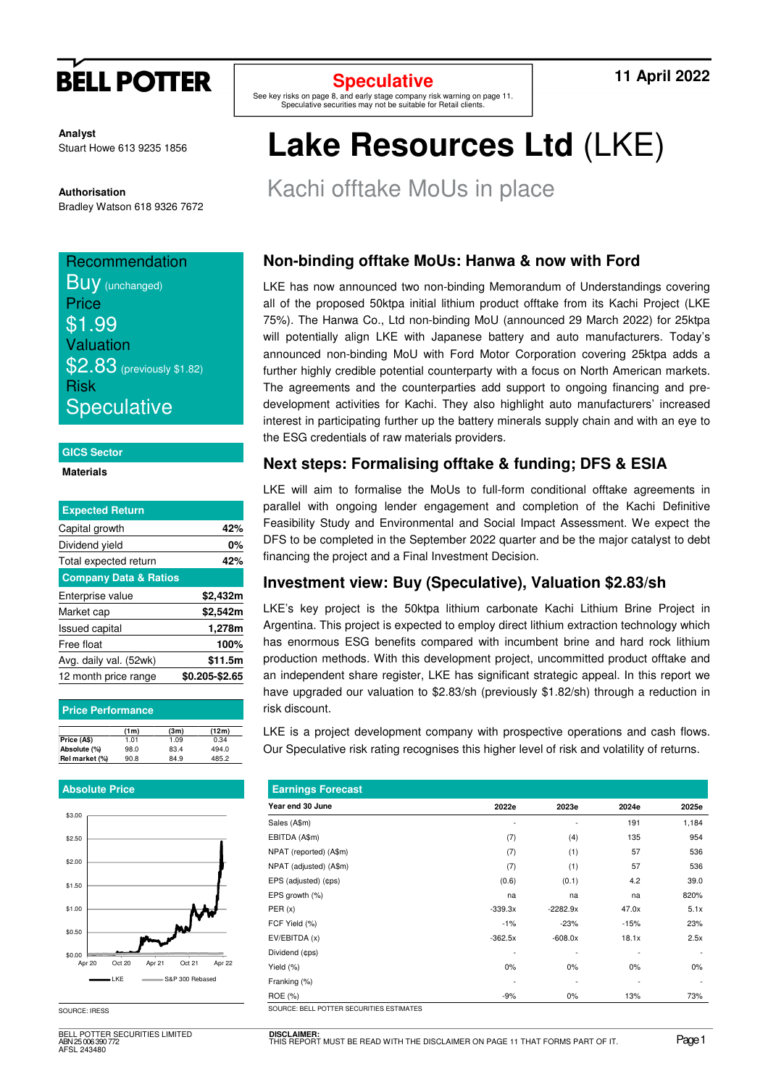

**Analyst** Stuart Howe 613 9235 1856

**Authorisation**  Bradley Watson 618 9326 7672

## **Recommendation**

**Buy** (unchanged) **Price** \$1.99 Valuation \$2.83 (previously \$1.82) Risk **Speculative** 

#### **GICS Sector**

### **Materials**

| <b>Expected Return</b>           |                |
|----------------------------------|----------------|
| Capital growth                   | 42%            |
| Dividend yield                   | 0%             |
| Total expected return            | 42%            |
| <b>Company Data &amp; Ratios</b> |                |
| Enterprise value                 | \$2,432m       |
| Market cap                       | \$2,542m       |
| <b>Issued capital</b>            | 1,278m         |
| Free float                       | 100%           |
| Avg. daily val. (52wk)           | \$11.5m        |
| 12 month price range             | \$0.205-\$2.65 |

| <b>Price Performance</b> |      |      |       |
|--------------------------|------|------|-------|
|                          | (1m) | (3m) | (12m) |
| Price (A\$)              | 1.01 | 1.09 | 0.34  |
| Absolute (%)             | 98.0 | 83.4 | 494.0 |
| Rel market (%)           | 90.8 | 84.9 | 485.2 |

#### **Absolute Price**



SOURCE: IRESS

BELL POTTER SECURITIES LIMITED ABN 25 006 390 772 AFSL 243480

## **Speculative**

See key risks on page 8, and early stage company risk warning on page 11. Speculative securities may not be suitable for Retail clients.

**11 April 2022** 

# **Lake Resources Ltd** (LKE)

Kachi offtake MoUs in place

## **Non-binding offtake MoUs: Hanwa & now with Ford**

LKE has now announced two non-binding Memorandum of Understandings covering all of the proposed 50ktpa initial lithium product offtake from its Kachi Project (LKE 75%). The Hanwa Co., Ltd non-binding MoU (announced 29 March 2022) for 25ktpa will potentially align LKE with Japanese battery and auto manufacturers. Today's announced non-binding MoU with Ford Motor Corporation covering 25ktpa adds a further highly credible potential counterparty with a focus on North American markets. The agreements and the counterparties add support to ongoing financing and predevelopment activities for Kachi. They also highlight auto manufacturers' increased interest in participating further up the battery minerals supply chain and with an eye to the ESG credentials of raw materials providers.

## **Next steps: Formalising offtake & funding; DFS & ESIA**

LKE will aim to formalise the MoUs to full-form conditional offtake agreements in parallel with ongoing lender engagement and completion of the Kachi Definitive Feasibility Study and Environmental and Social Impact Assessment. We expect the DFS to be completed in the September 2022 quarter and be the major catalyst to debt financing the project and a Final Investment Decision.

## **Investment view: Buy (Speculative), Valuation \$2.83/sh**

LKE's key project is the 50ktpa lithium carbonate Kachi Lithium Brine Project in Argentina. This project is expected to employ direct lithium extraction technology which has enormous ESG benefits compared with incumbent brine and hard rock lithium production methods. With this development project, uncommitted product offtake and an independent share register, LKE has significant strategic appeal. In this report we have upgraded our valuation to \$2.83/sh (previously \$1.82/sh) through a reduction in risk discount.

LKE is a project development company with prospective operations and cash flows. Our Speculative risk rating recognises this higher level of risk and volatility of returns.

| <b>Earnings Forecast</b>                 |           |                          |                          |                          |
|------------------------------------------|-----------|--------------------------|--------------------------|--------------------------|
| Year end 30 June                         | 2022e     | 2023e                    | 2024e                    | 2025e                    |
| Sales (A\$m)                             |           | $\overline{\phantom{0}}$ | 191                      | 1,184                    |
| EBITDA (A\$m)                            | (7)       | (4)                      | 135                      | 954                      |
| NPAT (reported) (A\$m)                   | (7)       | (1)                      | 57                       | 536                      |
| NPAT (adjusted) (A\$m)                   | (7)       | (1)                      | 57                       | 536                      |
| EPS (adjusted) (¢ps)                     | (0.6)     | (0.1)                    | 4.2                      | 39.0                     |
| EPS growth (%)                           | na        | na                       | na                       | 820%                     |
| PER(x)                                   | $-339.3x$ | $-2282.9x$               | 47.0x                    | 5.1x                     |
| FCF Yield (%)                            | $-1%$     | $-23%$                   | $-15%$                   | 23%                      |
| EV/EBITDA (x)                            | $-362.5x$ | $-608.0x$                | 18.1x                    | 2.5x                     |
| Dividend (¢ps)                           |           | $\overline{\phantom{0}}$ |                          |                          |
| Yield (%)                                | 0%        | 0%                       | 0%                       | $0\%$                    |
| Franking (%)                             | ٠         | $\overline{\phantom{a}}$ | $\overline{\phantom{a}}$ | $\overline{\phantom{a}}$ |
| ROE (%)                                  | $-9%$     | $0\%$                    | 13%                      | 73%                      |
| SOURCE: BELL POTTER SECURITIES ESTIMATES |           |                          |                          |                          |

**DISCLAIMER:** THINER:<br>EPORT MUST BE READ WITH THE DISCLAIMER ON PAGE 11 THAT FORMS PART OF IT. PAGE 1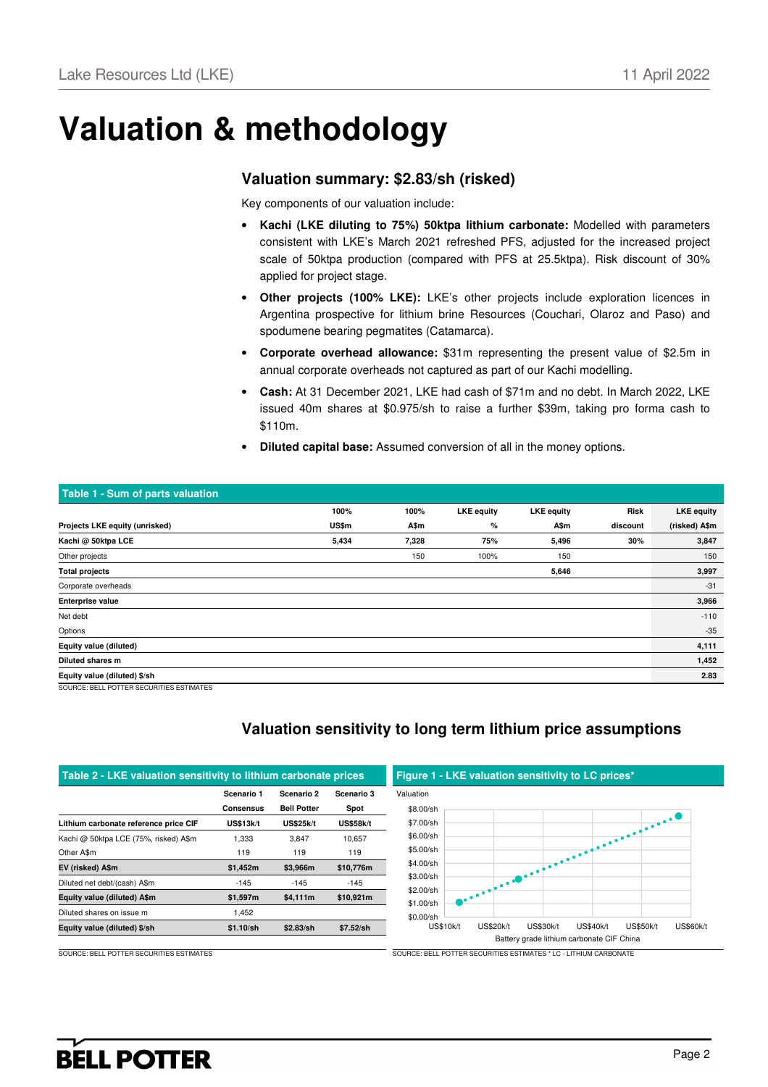## **Valuation & methodology**

### **Valuation summary: \$2.83/sh (risked)**

Key components of our valuation include:

- **Kachi (LKE diluting to 75%) 50ktpa lithium carbonate:** Modelled with parameters consistent with LKE's March 2021 refreshed PFS, adjusted for the increased project scale of 50ktpa production (compared with PFS at 25.5ktpa). Risk discount of 30% applied for project stage.
- **Other projects (100% LKE):** LKE's other projects include exploration licences in Argentina prospective for lithium brine Resources (Couchari, Olaroz and Paso) and spodumene bearing pegmatites (Catamarca).
- **Corporate overhead allowance:** \$31m representing the present value of \$2.5m in annual corporate overheads not captured as part of our Kachi modelling.
- **Cash:** At 31 December 2021, LKE had cash of \$71m and no debt. In March 2022, LKE issued 40m shares at \$0.975/sh to raise a further \$39m, taking pro forma cash to \$110m.
- **Diluted capital base:** Assumed conversion of all in the money options.

| Table 1 - Sum of parts valuation         |       |       |                   |                   |          |                   |
|------------------------------------------|-------|-------|-------------------|-------------------|----------|-------------------|
|                                          | 100%  | 100%  | <b>LKE</b> equity | <b>LKE</b> equity | Risk     | <b>LKE</b> equity |
| Projects LKE equity (unrisked)           | US\$m | A\$m  | %                 | A\$m              | discount | (risked) A\$m     |
| Kachi @ 50ktpa LCE                       | 5,434 | 7,328 | 75%               | 5,496             | 30%      | 3,847             |
| Other projects                           |       | 150   | 100%              | 150               |          | 150               |
| <b>Total projects</b>                    |       |       |                   | 5,646             |          | 3,997             |
| Corporate overheads                      |       |       |                   |                   |          | $-31$             |
| <b>Enterprise value</b>                  |       |       |                   |                   |          | 3,966             |
| Net debt                                 |       |       |                   |                   |          | $-110$            |
| Options                                  |       |       |                   |                   |          | $-35$             |
| Equity value (diluted)                   |       |       |                   |                   |          | 4,111             |
| Diluted shares m                         |       |       |                   |                   |          | 1,452             |
| Equity value (diluted) \$/sh             |       |       |                   |                   |          | 2.83              |
| SOURCE: BELL POTTER SECURITIES ESTIMATES |       |       |                   |                   |          |                   |

## **Valuation sensitivity to long term lithium price assumptions**

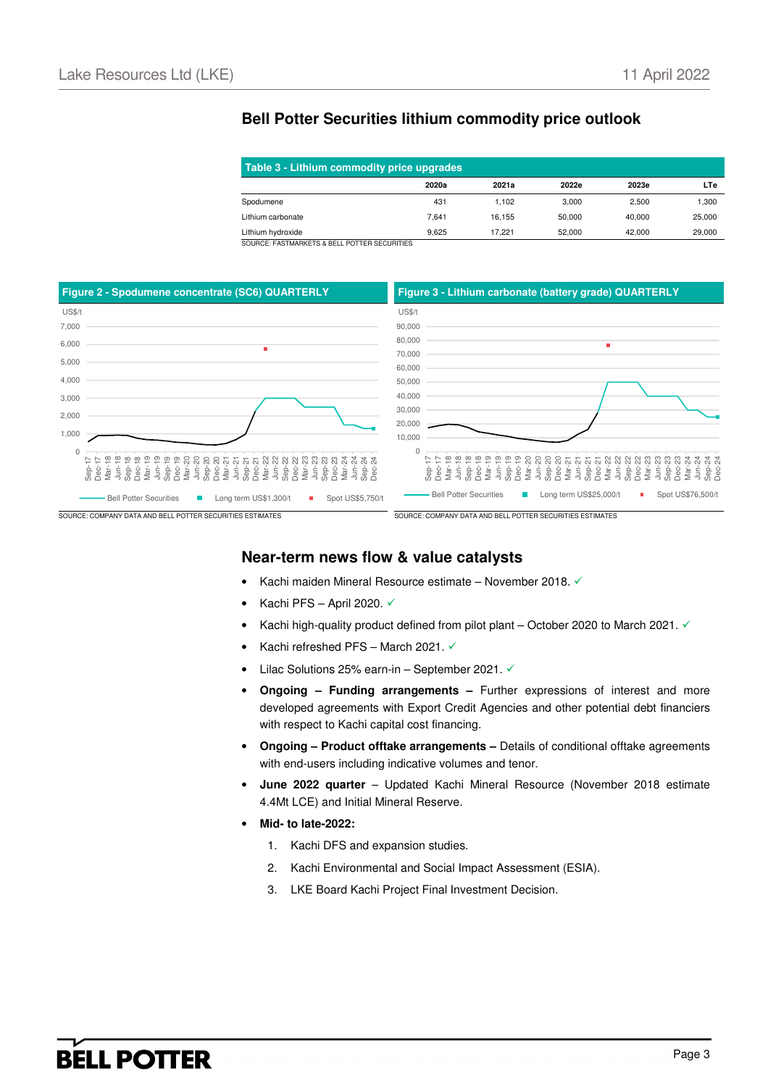## **Bell Potter Securities lithium commodity price outlook**

| Table 3 - Lithium commodity price upgrades |       |        |        |        |        |  |  |
|--------------------------------------------|-------|--------|--------|--------|--------|--|--|
|                                            | 2020a | 2021a  | 2022e  | 2023e  | LTe    |  |  |
| Spodumene                                  | 431   | 1.102  | 3.000  | 2.500  | 1,300  |  |  |
| Lithium carbonate                          | 7.641 | 16.155 | 50,000 | 40.000 | 25,000 |  |  |
| Lithium hydroxide<br>--------------------- | 9.625 | 17.221 | 52.000 | 42.000 | 29,000 |  |  |

SOURCE: FASTMARKETS & BELL POTTER SECURITIES



### **Near-term news flow & value catalysts**

- Kachi maiden Mineral Resource estimate November 2018.
- Kachi PFS April 2020.  $\checkmark$
- Kachi high-quality product defined from pilot plant October 2020 to March 2021.  $\checkmark$
- Kachi refreshed PFS March 2021.
- Lilac Solutions 25% earn-in September 2021.  $\checkmark$
- **Ongoing – Funding arrangements –** Further expressions of interest and more developed agreements with Export Credit Agencies and other potential debt financiers with respect to Kachi capital cost financing.
- **Ongoing Product offtake arrangements –** Details of conditional offtake agreements with end-users including indicative volumes and tenor.
- **June 2022 quarter** Updated Kachi Mineral Resource (November 2018 estimate 4.4Mt LCE) and Initial Mineral Reserve.
- **Mid- to late-2022:** 
	- 1. Kachi DFS and expansion studies.
	- 2. Kachi Environmental and Social Impact Assessment (ESIA).
	- 3. LKE Board Kachi Project Final Investment Decision.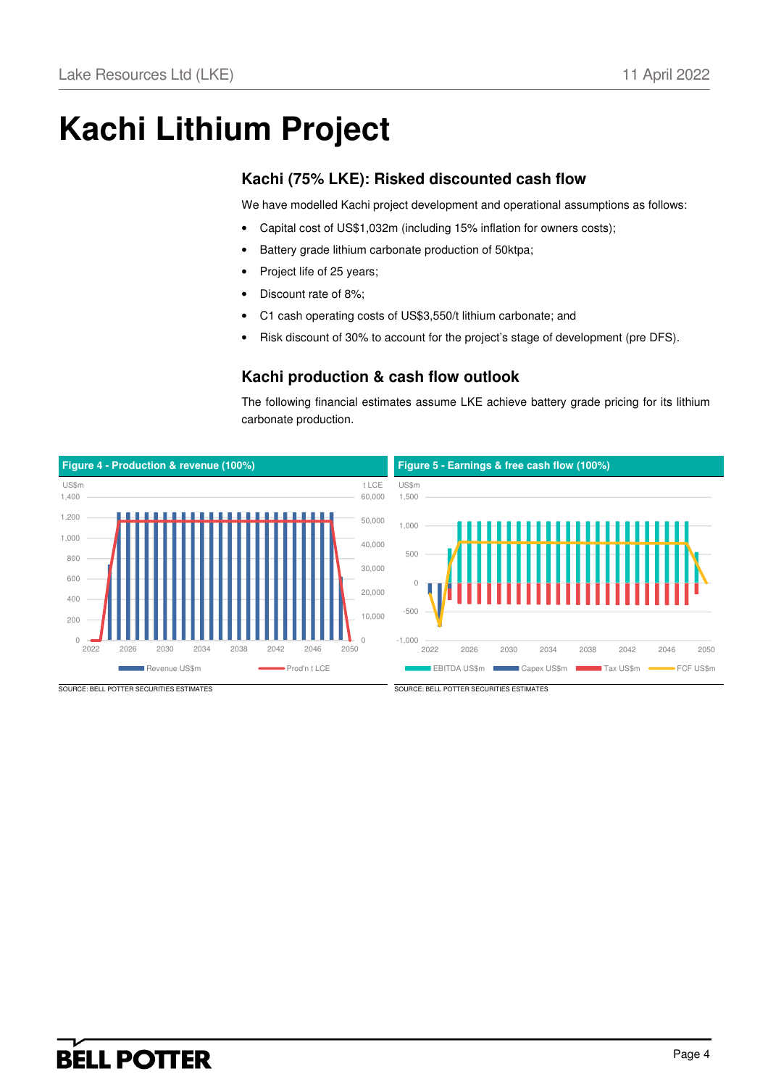# **Kachi Lithium Project**

## **Kachi (75% LKE): Risked discounted cash flow**

We have modelled Kachi project development and operational assumptions as follows:

- Capital cost of US\$1,032m (including 15% inflation for owners costs);
- Battery grade lithium carbonate production of 50ktpa;
- Project life of 25 years;
- Discount rate of 8%:
- C1 cash operating costs of US\$3,550/t lithium carbonate; and
- Risk discount of 30% to account for the project's stage of development (pre DFS).

### **Kachi production & cash flow outlook**

The following financial estimates assume LKE achieve battery grade pricing for its lithium carbonate production.

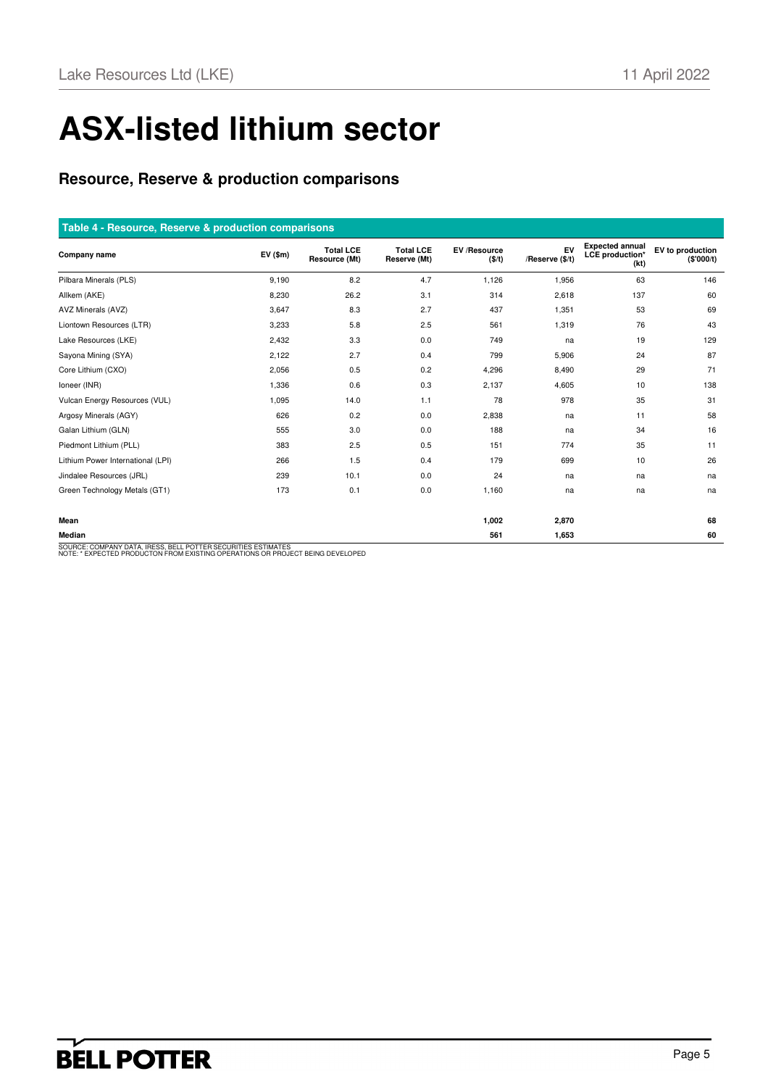# **ASX-listed lithium sector**

## **Resource, Reserve & production comparisons**

### **Table 4 - Resource, Reserve & production comparisons**

| المتعاطفا والمتعارض المتحاول المتحاولات والمتحاولات والمتحدث والمتحاولات والمتحاولات والمتحاولات |               |                                   |                                  |                              |                       |                                                          |                                |
|--------------------------------------------------------------------------------------------------|---------------|-----------------------------------|----------------------------------|------------------------------|-----------------------|----------------------------------------------------------|--------------------------------|
| Company name                                                                                     | $EV($ \$m $)$ | <b>Total LCE</b><br>Resource (Mt) | <b>Total LCE</b><br>Reserve (Mt) | EV /Resource<br>$($ \$/t $)$ | EV<br>/Reserve (\$/t) | <b>Expected annual</b><br><b>LCE</b> production*<br>(kt) | EV to production<br>(\$'000/t) |
| Pilbara Minerals (PLS)                                                                           | 9,190         | 8.2                               | 4.7                              | 1,126                        | 1,956                 | 63                                                       | 146                            |
| Allkem (AKE)                                                                                     | 8,230         | 26.2                              | 3.1                              | 314                          | 2,618                 | 137                                                      | 60                             |
| AVZ Minerals (AVZ)                                                                               | 3,647         | 8.3                               | 2.7                              | 437                          | 1,351                 | 53                                                       | 69                             |
| Liontown Resources (LTR)                                                                         | 3,233         | 5.8                               | 2.5                              | 561                          | 1,319                 | 76                                                       | 43                             |
| Lake Resources (LKE)                                                                             | 2,432         | 3.3                               | 0.0                              | 749                          | na                    | 19                                                       | 129                            |
| Sayona Mining (SYA)                                                                              | 2,122         | 2.7                               | 0.4                              | 799                          | 5,906                 | 24                                                       | 87                             |
| Core Lithium (CXO)                                                                               | 2,056         | 0.5                               | 0.2                              | 4,296                        | 8,490                 | 29                                                       | 71                             |
| Ioneer (INR)                                                                                     | 1,336         | 0.6                               | 0.3                              | 2,137                        | 4,605                 | 10                                                       | 138                            |
| Vulcan Energy Resources (VUL)                                                                    | 1,095         | 14.0                              | 1.1                              | 78                           | 978                   | 35                                                       | 31                             |
| Argosy Minerals (AGY)                                                                            | 626           | 0.2                               | 0.0                              | 2,838                        | na                    | 11                                                       | 58                             |
| Galan Lithium (GLN)                                                                              | 555           | 3.0                               | 0.0                              | 188                          | na                    | 34                                                       | 16                             |
| Piedmont Lithium (PLL)                                                                           | 383           | 2.5                               | 0.5                              | 151                          | 774                   | 35                                                       | 11                             |
| Lithium Power International (LPI)                                                                | 266           | 1.5                               | 0.4                              | 179                          | 699                   | 10                                                       | 26                             |
| Jindalee Resources (JRL)                                                                         | 239           | 10.1                              | 0.0                              | 24                           | na                    | na                                                       | na                             |
| Green Technology Metals (GT1)                                                                    | 173           | 0.1                               | 0.0                              | 1,160                        | na                    | na                                                       | na                             |
|                                                                                                  |               |                                   |                                  |                              |                       |                                                          |                                |
| Mean                                                                                             |               |                                   |                                  | 1,002                        | 2,870                 |                                                          | 68                             |
| Median                                                                                           |               |                                   |                                  | 561                          | 1,653                 |                                                          | 60                             |
| COURCE: COMBANY DATA IRESS RELL ROTTER SECURITIES ESTIMATES                                      |               |                                   |                                  |                              |                       |                                                          |                                |

SOURCE: COMPANY DATA, IRESS, BELL POTTER SECURITIES ESTIMATES NOTE: \* EXPECTED PRODUCTON FROM EXISTING OPERATIONS OR PROJECT BEING DEVELOPED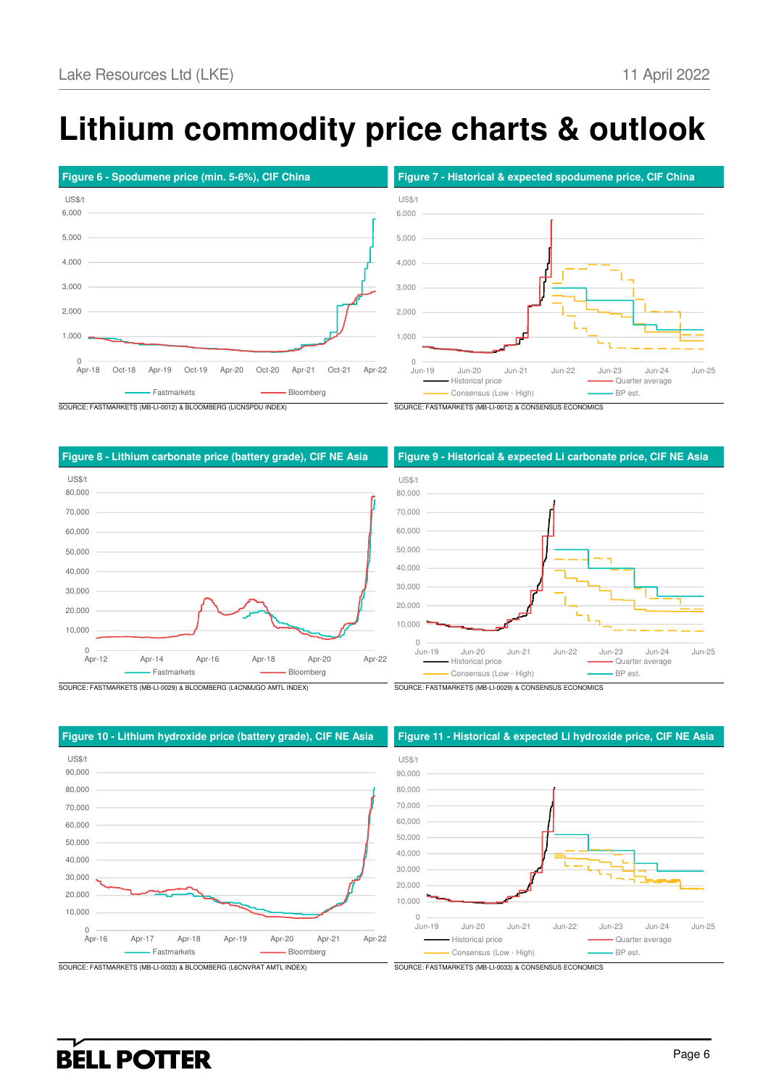# **Lithium commodity price charts & outlook**

US\$/t





SOURCE: FASTMARKETS (MB-LI-0012) & BLOOMBERG (LICNSPDU INDEX) SOURCE: FASTMARKETS (MB-LI-0012) & CONSENSUS ECONOMICS

#### **Figure 8 - Lithium carbonate price (battery grade), CIF NE Asia Figure 9 - Historical & expected Li carbonate price, CIF NE Asia**





 $0$ <br>Jun-19 10,000 20,000 30,000 40,000 50,000 60,000 70,000 80,000 Jun-19 Jun-20 Jun-21 Jun-22 Jun-23 Jun-24 Jun-25 Historical price **Contact Contact Contact Contact Contact Contact Contact Contact Contact Contact Contact Contact Contact Contact Contact Contact Contact Contact Contact Contact Contact Contact Contact Contact Contact Cont** Consensus (Low - High) **BP** est.



#### **Figure 10 - Lithium hydroxide price (battery grade), CIF NE Asia Figure 11 - Historical & expected Li hydroxide price, CIF NE Asia**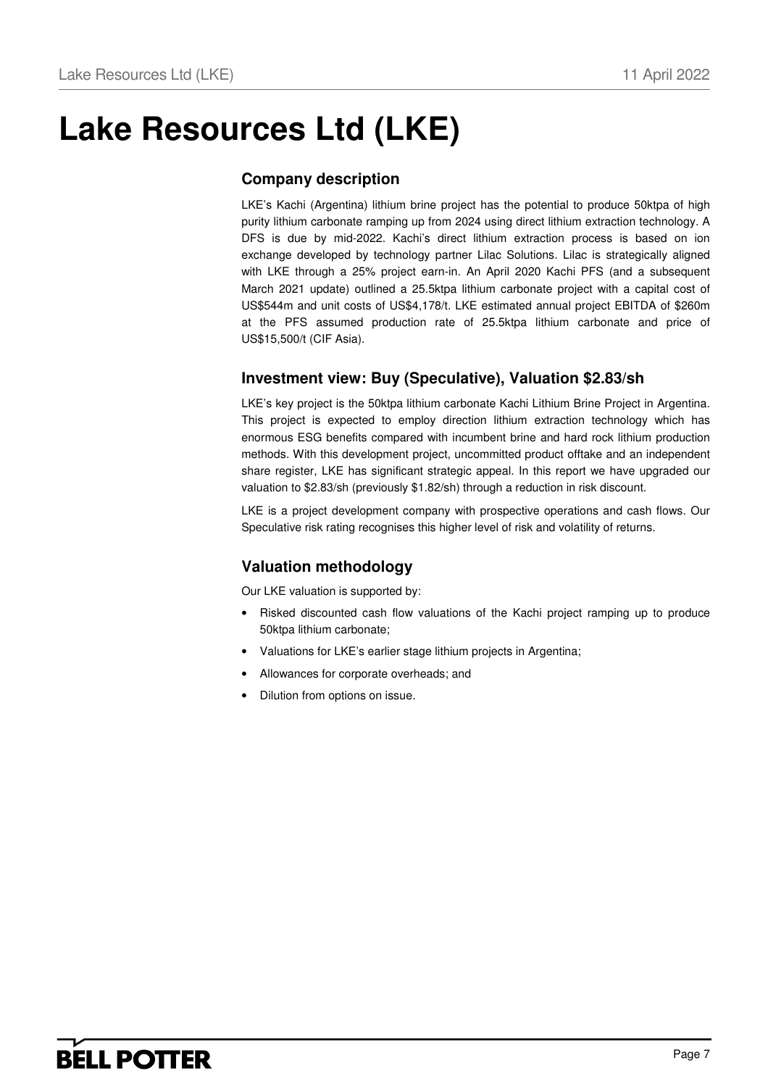## **Lake Resources Ltd (LKE)**

## **Company description**

LKE's Kachi (Argentina) lithium brine project has the potential to produce 50ktpa of high purity lithium carbonate ramping up from 2024 using direct lithium extraction technology. A DFS is due by mid-2022. Kachi's direct lithium extraction process is based on ion exchange developed by technology partner Lilac Solutions. Lilac is strategically aligned with LKE through a 25% project earn-in. An April 2020 Kachi PFS (and a subsequent March 2021 update) outlined a 25.5ktpa lithium carbonate project with a capital cost of US\$544m and unit costs of US\$4,178/t. LKE estimated annual project EBITDA of \$260m at the PFS assumed production rate of 25.5ktpa lithium carbonate and price of US\$15,500/t (CIF Asia).

## **Investment view: Buy (Speculative), Valuation \$2.83/sh**

LKE's key project is the 50ktpa lithium carbonate Kachi Lithium Brine Project in Argentina. This project is expected to employ direction lithium extraction technology which has enormous ESG benefits compared with incumbent brine and hard rock lithium production methods. With this development project, uncommitted product offtake and an independent share register, LKE has significant strategic appeal. In this report we have upgraded our valuation to \$2.83/sh (previously \$1.82/sh) through a reduction in risk discount.

LKE is a project development company with prospective operations and cash flows. Our Speculative risk rating recognises this higher level of risk and volatility of returns.

## **Valuation methodology**

Our LKE valuation is supported by:

- Risked discounted cash flow valuations of the Kachi project ramping up to produce 50ktpa lithium carbonate;
- Valuations for LKE's earlier stage lithium projects in Argentina;
- Allowances for corporate overheads; and
- Dilution from options on issue.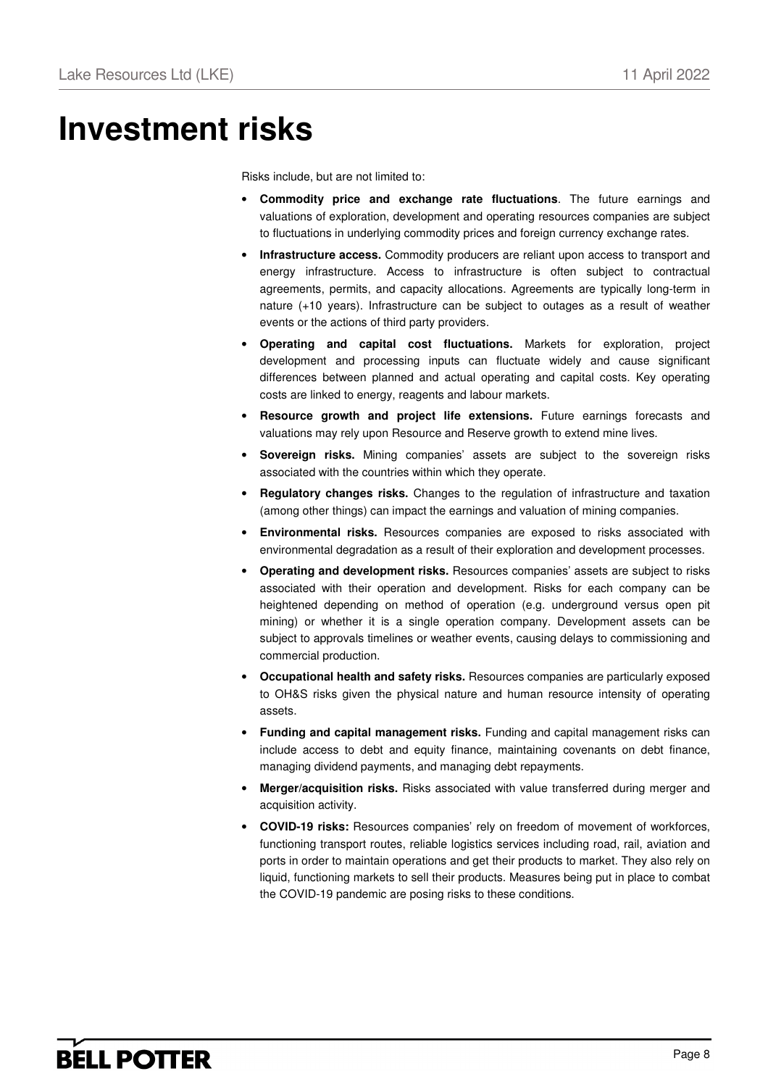## **Investment risks**

Risks include, but are not limited to:

- **Commodity price and exchange rate fluctuations**. The future earnings and valuations of exploration, development and operating resources companies are subject to fluctuations in underlying commodity prices and foreign currency exchange rates.
- **Infrastructure access.** Commodity producers are reliant upon access to transport and energy infrastructure. Access to infrastructure is often subject to contractual agreements, permits, and capacity allocations. Agreements are typically long-term in nature (+10 years). Infrastructure can be subject to outages as a result of weather events or the actions of third party providers.
- **Operating and capital cost fluctuations.** Markets for exploration, project development and processing inputs can fluctuate widely and cause significant differences between planned and actual operating and capital costs. Key operating costs are linked to energy, reagents and labour markets.
- **Resource growth and project life extensions.** Future earnings forecasts and valuations may rely upon Resource and Reserve growth to extend mine lives.
- **Sovereign risks.** Mining companies' assets are subject to the sovereign risks associated with the countries within which they operate.
- **Regulatory changes risks.** Changes to the regulation of infrastructure and taxation (among other things) can impact the earnings and valuation of mining companies.
- **Environmental risks.** Resources companies are exposed to risks associated with environmental degradation as a result of their exploration and development processes.
- **Operating and development risks.** Resources companies' assets are subject to risks associated with their operation and development. Risks for each company can be heightened depending on method of operation (e.g. underground versus open pit mining) or whether it is a single operation company. Development assets can be subject to approvals timelines or weather events, causing delays to commissioning and commercial production.
- **Occupational health and safety risks.** Resources companies are particularly exposed to OH&S risks given the physical nature and human resource intensity of operating assets.
- **Funding and capital management risks.** Funding and capital management risks can include access to debt and equity finance, maintaining covenants on debt finance, managing dividend payments, and managing debt repayments.
- **Merger/acquisition risks.** Risks associated with value transferred during merger and acquisition activity.
- **COVID-19 risks:** Resources companies' rely on freedom of movement of workforces, functioning transport routes, reliable logistics services including road, rail, aviation and ports in order to maintain operations and get their products to market. They also rely on liquid, functioning markets to sell their products. Measures being put in place to combat the COVID-19 pandemic are posing risks to these conditions.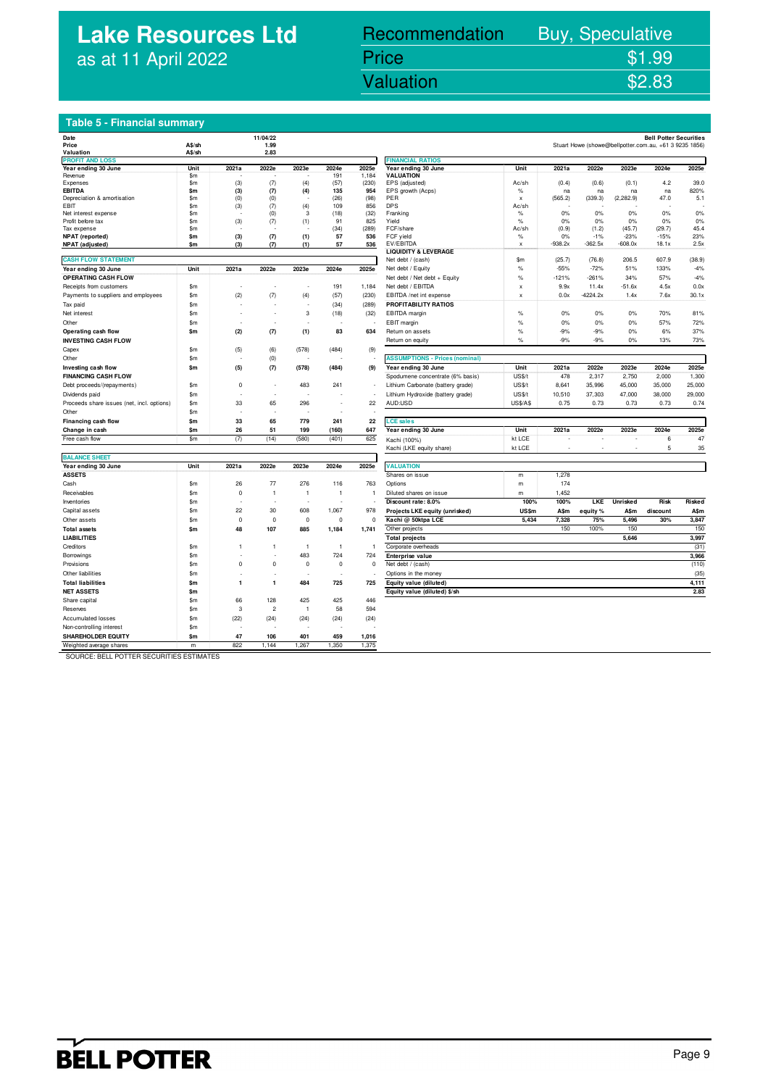## **Lake Resources Ltd** as at 11 April 2022

## Lake Resources Ltd (LKE) 11 April 2022 Valuation \$2.83 Recommendation Buy, Speculative Price \$1.99<br>Valuation \$2.83

### **Table 5 - Financial summary**

| Date                                       |               |                | 11/04/22       |                |                |                |                                         |                 |           |            |            | <b>Bell Potter Securities</b>                          |        |
|--------------------------------------------|---------------|----------------|----------------|----------------|----------------|----------------|-----------------------------------------|-----------------|-----------|------------|------------|--------------------------------------------------------|--------|
| Price                                      | A\$/sh        |                | 1.99           |                |                |                |                                         |                 |           |            |            | Stuart Howe (showe@bellpotter.com.au, +61 3 9235 1856) |        |
| Valuation                                  | A\$/sh        |                | 2.83           |                |                |                |                                         |                 |           |            |            |                                                        |        |
| <b>PROFIT AND LOSS</b>                     |               |                |                |                |                |                | <b>FINANCIAL RATIOS</b>                 |                 |           |            |            |                                                        |        |
| Year ending 30 June<br>Revenue             | Unit<br>\$m   | 2021a          | 2022e          | 2023e          | 2024e<br>191   | 2025e<br>1,184 | Year ending 30 June<br><b>VALUATION</b> | Unit            | 2021a     | 2022e      | 2023e      | 2024e                                                  | 2025e  |
| Expenses                                   | \$m           | (3)            | (7)            | (4)            | (57)           | (230)          | EPS (adjusted)                          | Ac/sh           | (0.4)     | (0.6)      | (0.1)      | 4.2                                                    | 39.0   |
| <b>EBITDA</b>                              | \$m           | (3)            | (7)            | (4)            | 135            | 954            | EPS growth (Acps)                       | $\%$            | na        | na         | na         | na                                                     | 820%   |
| Depreciation & amortisation                | \$m           | (0)            | (0)            |                | (26)           | (98)           | PER                                     | X               | (565.2)   | (339.3)    | (2, 282.9) | 47.0                                                   | 5.1    |
| EBIT                                       | \$m           | (3)            | (7)            | (4)            | 109            | 856            | <b>DPS</b>                              | Ac/sh           |           |            |            |                                                        |        |
| Net interest expense                       | \$m           | ÷.             | (0)            | 3              | (18)           | (32)           | Franking                                | $\%$            | 0%        | 0%         | 0%         | 0%                                                     | 0%     |
| Profit before tax                          | \$m           | (3)            | (7)            | (1)            | 91             | 825            | Yield                                   | $\%$            | 0%        | 0%         | 0%         | 0%                                                     | 0%     |
| Tax expense                                | $\mathsf{sm}$ |                |                |                | (34)           | (289)          | FCF/share                               | Ac/sh           | (0.9)     | (1.2)      | (45.7)     | (29.7)                                                 | 45.4   |
| NPAT (reported)                            | \$m           | (3)            | (7)            | (1)            | 57             | 536            | FCF yield                               | %               | 0%        | $-1%$      | $-23%$     | $-15%$                                                 | 23%    |
| NPAT (adjusted)                            | \$m           | (3)            | (7)            | (1)            | 57             | 536            | EV/EBITDA                               | $\mathsf X$     | $-938.2x$ | $-362.5x$  | $-608.0x$  | 18.1x                                                  | 2.5x   |
|                                            |               |                |                |                |                |                | <b>LIQUIDITY &amp; LEVERAGE</b>         |                 |           |            |            |                                                        |        |
| <b>CASH FLOW STATEMENT</b>                 |               |                |                |                |                |                | Net debt / (cash)                       | \$m             | (25.7)    | (76.8)     | 206.5      | 607.9                                                  | (38.9) |
| Year ending 30 June                        | Unit          | 2021a          | 2022e          | 2023e          | 2024e          | 2025e          | Net debt / Equity                       | $\%$            | $-55%$    | $-72%$     | 51%        | 133%                                                   | $-4%$  |
| OPERATING CASH FLOW                        |               |                |                |                |                |                | Net debt / Net debt + Equity            | $\%$            | $-121%$   | $-261%$    | 34%        | 57%                                                    | $-4%$  |
| Receipts from customers                    | \$m           |                |                |                | 191            | 1,184          | Net debt / EBITDA                       | $\mathsf{x}$    | 9.9x      | 11.4x      | $-51.6x$   | 4.5x                                                   | 0.0x   |
| Payments to suppliers and employees        | \$m           | (2)            | (7)            | (4)            | (57)           | (230)          | EBITDA /net int expense                 | $\mathsf{x}$    | 0.0x      | $-4224.2x$ | 1.4x       | 7.6x                                                   | 30.1x  |
| Tax paid                                   | \$m           |                |                | ÷,             | (34)           | (289)          | PROFITABILITY RATIOS                    |                 |           |            |            |                                                        |        |
| Net interest                               | \$m           |                |                | 3              | (18)           | (32)           | EBITDA margin                           | $\%$            | 0%        | 0%         | 0%         | 70%                                                    | 81%    |
| Other                                      | \$m           |                |                | J.             |                |                | EBIT margin                             | $\%$            | 0%        | 0%         | 0%         | 57%                                                    | 72%    |
| Operating cash flow                        | \$m           | (2)            | (7)            | (1)            | 83             | 634            | Return on assets                        | $\%$            | $-9%$     | $-9%$      | 0%         | 6%                                                     | 37%    |
|                                            |               |                |                |                |                |                | Return on equity                        | %               | $-9%$     | $-9%$      | 0%         | 13%                                                    | 73%    |
| <b>INVESTING CASH FLOW</b>                 | $\mathsf{sm}$ |                |                |                |                |                |                                         |                 |           |            |            |                                                        |        |
| Capex                                      |               | (5)            | (6)            | (578)          | (484)          | (9)            |                                         |                 |           |            |            |                                                        |        |
| Other                                      | \$m           |                | (0)            |                |                |                | <b>ASSUMPTIONS - Prices (nominal)</b>   |                 |           |            |            |                                                        |        |
| Investing cash flow                        | \$m           | (5)            | (7)            | (578)          | (484)          | (9)            | Year ending 30 June                     | Unit            | 2021a     | 2022e      | 2023e      | 2024e                                                  | 2025e  |
| <b>FINANCING CASH FLOW</b>                 |               |                |                |                |                |                | Spodumene concentrate (6% basis)        | US\$/t          | 478       | 2,317      | 2,750      | 2,000                                                  | 1,300  |
| Debt proceeds/(repayments)                 | \$m           | $\mathbf 0$    |                | 483            | 241            |                | Lithium Carbonate (battery grade)       | US\$/t          | 8,641     | 35,996     | 45,000     | 35,000                                                 | 25,000 |
| Dividends paid                             | \$m           |                |                |                |                |                | Lithium Hydroxide (battery grade)       | US\$/t          | 10,510    | 37,303     | 47,000     | 38,000                                                 | 29,000 |
| Proceeds share issues (net, incl. options) | \$m           | 33             | 65             | 296            |                | 22             | AUD:USD                                 | <b>US\$/A\$</b> | 0.75      | 0.73       | 0.73       | 0.73                                                   | 0.74   |
| Other                                      | \$m           |                |                |                |                |                |                                         |                 |           |            |            |                                                        |        |
| Financing cash flow                        | \$m           | 33             | 65             | 779            | 241            | 22             | <b>LCE</b> sales                        |                 |           |            |            |                                                        |        |
| Change in cash                             | \$m           | 26             | 51             | 199            | (160)          | 647            | Year ending 30 June                     | Unit            | 2021a     | 2022e      | 2023e      | 2024e                                                  | 2025e  |
| Free cash flow                             | \$m           | (7)            | (14)           | (580)          | (401)          | 625            | Kachi (100%)                            | kt LCE          |           |            |            | 6                                                      | 47     |
|                                            |               |                |                |                |                |                | Kachi (LKE equity share)                | kt LCE          | ÷.        | ä,         |            | 5                                                      | 35     |
| <b>BALANCE SHEET</b>                       |               |                |                |                |                |                |                                         |                 |           |            |            |                                                        |        |
|                                            |               |                |                |                |                |                |                                         |                 |           |            |            |                                                        |        |
| Year ending 30 June                        | Unit          | 2021a          | 2022e          | 2023e          | 2024e          | 2025e          | <b>VALUATION</b>                        |                 |           |            |            |                                                        |        |
| <b>ASSETS</b>                              |               |                |                |                |                |                | Shares on issue                         | m               | 1,278     |            |            |                                                        |        |
| Cash                                       | \$m\$         | 26             | 77             | 276            | 116            | 763            | Options                                 | m               | 174       |            |            |                                                        |        |
| Receivables                                | \$m           | $\mathbf 0$    | $\overline{1}$ | $\overline{1}$ | $\overline{1}$ | $\overline{1}$ | Diluted shares on issue                 | m               | 1,452     |            |            |                                                        |        |
| Inventories                                | \$m           |                |                | i,             |                |                | Discount rate: 8.0%                     | 100%            | 100%      | LKE        | Unrisked   | Risk                                                   | Risked |
| Capital assets                             | \$m           | 22             | 30             | 608            | 1,067          | 978            | Projects LKE equity (unrisked)          | <b>US\$m</b>    | A\$m      | equity %   | A\$m       | discount                                               | A\$m   |
| Other assets                               | \$m           | $\mathbf 0$    | $\mathbf 0$    | $\circ$        | $\mathbf 0$    | 0              | Kachi @ 50ktpa LCE                      | 5,434           | 7,328     | 75%        | 5,496      | 30%                                                    | 3,847  |
| <b>Total assets</b>                        | \$m           | 48             | 107            | 885            | 1,184          | 1,741          | Other projects                          |                 | 150       | 100%       | 150        |                                                        | 150    |
| <b>LIABILITIES</b>                         |               |                |                |                |                |                | <b>Total projects</b>                   |                 |           |            | 5,646      |                                                        | 3,997  |
| Creditors                                  | \$m           | $\overline{1}$ | $\mathbf{1}$   | $\overline{1}$ | $\mathbf{1}$   | $\overline{1}$ | Corporate overheads                     |                 |           |            |            |                                                        | (31)   |
| Borrowings                                 | \$m           |                |                | 483            | 724            | 724            | Enterprise value                        |                 |           |            |            |                                                        | 3.966  |
|                                            |               |                | $\Omega$       |                |                |                |                                         |                 |           |            |            |                                                        |        |
| Provisions                                 | $\mathsf{sm}$ | $\mathbf 0$    |                | $\circ$        | $\mathbf 0$    | $\mathbf 0$    | Net debt / (cash)                       |                 |           |            |            |                                                        | (110)  |
| Other liabilities                          | \$m           |                |                | J.             |                |                | Options in the money                    |                 |           |            |            |                                                        | (35)   |
| <b>Total liabilities</b>                   | \$m           | 1              | 1              | 484            | 725            | 725            | Equity value (diluted)                  |                 |           |            |            |                                                        | 4,111  |
| <b>NET ASSETS</b>                          | \$m           |                |                |                |                |                | Equity value (diluted) \$/sh            |                 |           |            |            |                                                        | 2.83   |
| Share capital                              | \$m           | 66             | 128            | 425            | 425            | 446            |                                         |                 |           |            |            |                                                        |        |
| Reserves                                   | \$m           | 3              | $\overline{2}$ | $\overline{1}$ | 58             | 594            |                                         |                 |           |            |            |                                                        |        |
| <b>Accumulated losses</b>                  | \$m           | (22)           | (24)           | (24)           | (24)           | (24)           |                                         |                 |           |            |            |                                                        |        |
| Non-controlling interest                   | \$m           |                |                |                |                |                |                                         |                 |           |            |            |                                                        |        |
| <b>SHAREHOLDER EQUITY</b>                  | \$m           | 47             | 106            | 401            | 459            | 1,016          |                                         |                 |           |            |            |                                                        |        |
| Weighted average shares                    | m             | 822            | 1,144          | 1,267          | 1,350          | 1,375          |                                         |                 |           |            |            |                                                        |        |
|                                            |               |                |                |                |                |                |                                         |                 |           |            |            |                                                        |        |

| <b>FINANCIAL RATIOS</b>               |                      |           |            |            |          |             |
|---------------------------------------|----------------------|-----------|------------|------------|----------|-------------|
| Year ending 30 June                   | Unit                 | 2021a     | 2022e      | 2023e      | 2024e    | 2025e       |
| VALUATION                             |                      |           |            |            |          |             |
| EPS (adjusted)                        | Ac/sh                | (0.4)     | (0.6)      | (0.1)      | 4.2      | 39.0        |
| EPS growth (Acps)                     | $\%$                 | na        | na         | na         | na       | 820%        |
| PER<br>DPS                            | $\mathbf x$<br>Ac/sh | (565.2)   | (339.3)    | (2, 282.9) | 47.0     | 5.1         |
| Franking                              | %                    | 0%        | 0%         | 0%         | 0%       | 0%          |
| Yield                                 | %                    | 0%        | 0%         | 0%         | 0%       | 0%          |
| FCF/share                             | Ac/sh                | (0.9)     | (1.2)      | (45.7)     | (29.7)   | 45.4        |
| FCF yield                             | %                    | 0%        | $-1%$      | $-23%$     | $-15%$   | 23%         |
| EV/EBITDA                             | x                    | $-938.2x$ | $-362.5x$  | $-608.0x$  | 18.1x    | 2.5x        |
| <b>LIQUIDITY &amp; LEVERAGE</b>       |                      |           |            |            |          |             |
| Net debt / (cash)                     | \$m                  | (25.7)    | (76.8)     | 206.5      | 607.9    | (38.9)      |
| Net debt / Equity                     | %                    | $-55%$    | $-72%$     | 51%        | 133%     | $-4%$       |
| Net debt / Net debt + Equity          | %                    | $-121%$   | $-261%$    | 34%        | 57%      | $-4%$       |
| Net debt / EBITDA                     | x                    | 9.9x      | 11.4x      | $-51.6x$   | 4.5x     | 0.0x        |
| EBITDA /net int expense               | x                    | 0.0x      | $-4224.2x$ | 1.4x       | 7.6x     | 30.1x       |
| PROFITABILITY RATIOS                  |                      |           |            |            |          |             |
| EBITDA margin                         | $\%$                 | 0%        | 0%         | 0%         | 70%      | 81%         |
|                                       |                      |           |            |            |          |             |
| EBIT margin                           | %                    | 0%        | 0%         | 0%         | 57%      | 72%         |
| Return on assets                      | %                    | $-9%$     | $-9%$      | 0%         | 6%       | 37%         |
| Return on equity                      | %                    | $-9%$     | $-9%$      | 0%         | 13%      | 73%         |
|                                       |                      |           |            |            |          |             |
| <b>ASSUMPTIONS - Prices (nominal)</b> |                      |           |            |            |          |             |
| Year ending 30 June                   | Unit                 | 2021a     | 2022e      | 2023e      | 2024e    | 2025e       |
| Spodumene concentrate (6% basis)      | US\$/t               | 478       | 2,317      | 2,750      | 2,000    | 1,300       |
| Lithium Carbonate (battery grade)     | US\$/t               | 8,641     | 35,996     | 45,000     | 35,000   | 25,000      |
| Lithium Hydroxide (battery grade)     | US\$/t               | 10,510    | 37,303     | 47,000     | 38,000   | 29,000      |
| AUD:USD                               | <b>US\$/A\$</b>      | 0.75      | 0.73       | 0.73       | 0.73     | 0.74        |
|                                       |                      |           |            |            |          |             |
| <b>LCE</b> sales                      |                      |           |            |            |          |             |
| Year ending 30 June                   | Unit                 | 2021a     | 2022e      | 2023e      | 2024e    | 2025e       |
|                                       | kt LCE               |           |            |            | 6        | 47          |
| Kachi (100%)                          |                      |           |            |            |          |             |
| Kachi (LKE equity share)              | kt LCE               |           |            |            | 5        | 35          |
|                                       |                      |           |            |            |          |             |
| <b>VALUATION</b>                      |                      |           |            |            |          |             |
| Shares on issue                       | m                    | 1,278     |            |            |          |             |
| Options                               | m                    | 174       |            |            |          |             |
| Diluted shares on issue               | m                    | 1,452     |            |            |          |             |
| Discount rate: 8.0%                   | 100%                 | 100%      | LKE        | Unrisked   | Risk     | Risked      |
| Projects LKE equity (unrisked)        | <b>US\$m</b>         | A\$m      | equity %   | A\$m       | discount | <b>A</b> Sm |
| Kachi @ 50ktpa LCE                    | 5,434                | 7,328     | 75%        | 5,496      | 30%      | 3,847       |
| Other projects                        |                      | 150       | 100%       | 150        |          | 150         |
| <b>Total projects</b>                 |                      |           |            | 5,646      |          | 3,997       |
| Corporate overheads                   |                      |           |            |            |          | (31)        |
|                                       |                      |           |            |            |          |             |
| Enterprise value                      |                      |           |            |            |          | 3,966       |
| Net debt / (cash)                     |                      |           |            |            |          | (110)       |
| Options in the money                  |                      |           |            |            |          | (35)        |
| Equity value (diluted)                |                      |           |            |            |          | 4,111       |
| Equity value (diluted) \$/sh          |                      |           |            |            |          | 2.83        |

SOURCE: BELL POTTER SECURITIES ESTIMATES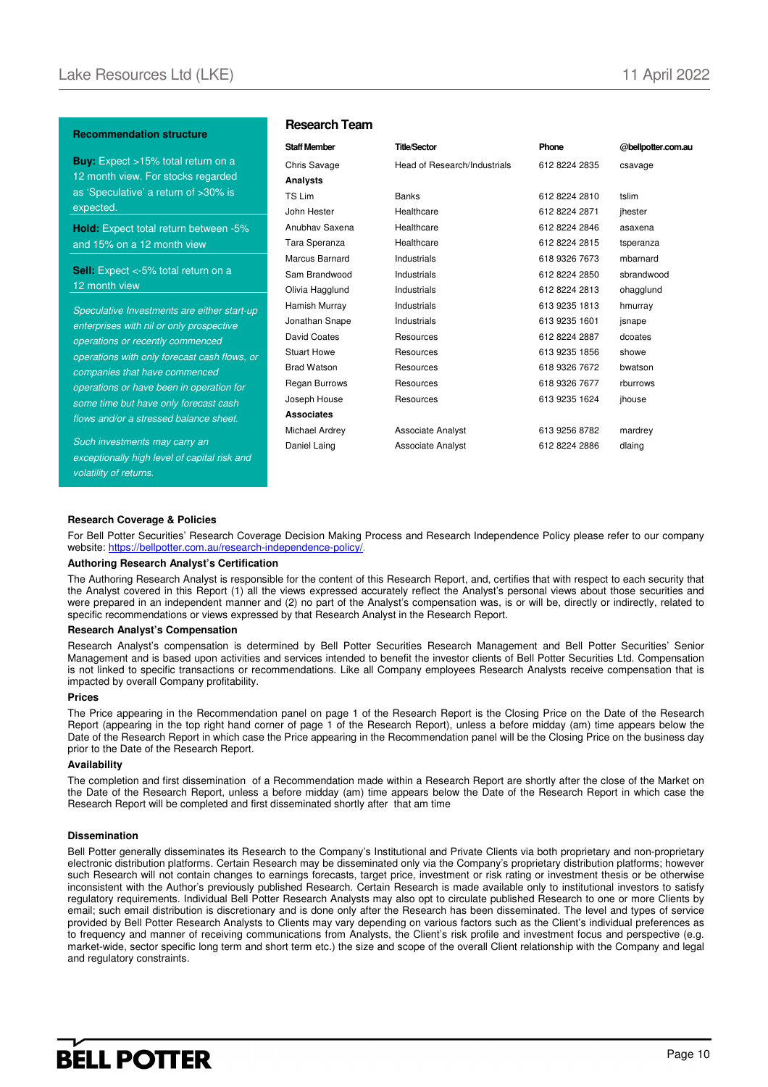#### **Recommendation structure**

**Buy:** Expect >15% total return on a 12 month view. For stocks regarded as 'Speculative' a return of >30% is expected.

**Hold:** Expect total return between -5% and 15% on a 12 month view

**Sell:** Expect <-5% total return on a 12 month view

Speculative Investments are either start-up enterprises with nil or only prospective operations or recently commenced operations with only forecast cash flows, or companies that have commenced operations or have been in operation for some time but have only forecast cash flows and/or a stressed balance sheet.

Such investments may carry an exceptionally high level of capital risk and volatility of returns.

#### **Research Team**

| <b>Staff Member</b> | <b>Title/Sector</b>          | Phone         | @bellpotter.com.au |
|---------------------|------------------------------|---------------|--------------------|
| Chris Savage        | Head of Research/Industrials | 612 8224 2835 | csavage            |
| Analysts            |                              |               |                    |
| TS Lim              | <b>Banks</b>                 | 612 8224 2810 | tslim              |
| John Hester         | Healthcare                   | 612 8224 2871 | jhester            |
| Anubhav Saxena      | Healthcare                   | 612 8224 2846 | asaxena            |
| Tara Speranza       | Healthcare                   | 612 8224 2815 | tsperanza          |
| Marcus Barnard      | Industrials                  | 618 9326 7673 | mbarnard           |
| Sam Brandwood       | Industrials                  | 612 8224 2850 | sbrandwood         |
| Olivia Hagglund     | Industrials                  | 612 8224 2813 | ohagglund          |
| Hamish Murray       | Industrials                  | 613 9235 1813 | hmurray            |
| Jonathan Snape      | Industrials                  | 613 9235 1601 | jsnape             |
| <b>David Coates</b> | Resources                    | 612 8224 2887 | dcoates            |
| <b>Stuart Howe</b>  | Resources                    | 613 9235 1856 | showe              |
| <b>Brad Watson</b>  | Resources                    | 618 9326 7672 | bwatson            |
| Regan Burrows       | Resources                    | 618 9326 7677 | rburrows           |
| Joseph House        | Resources                    | 613 9235 1624 | jhouse             |
| <b>Associates</b>   |                              |               |                    |
| Michael Ardrey      | Associate Analyst            | 613 9256 8782 | mardrey            |
| Daniel Laing        | Associate Analyst            | 612 8224 2886 | dlaing             |
|                     |                              |               |                    |

#### **Research Coverage & Policies**

For Bell Potter Securities' Research Coverage Decision Making Process and Research Independence Policy please refer to our company website: https://bellpotter.com.au/research-independence-policy/.

#### **Authoring Research Analyst's Certification**

The Authoring Research Analyst is responsible for the content of this Research Report, and, certifies that with respect to each security that the Analyst covered in this Report (1) all the views expressed accurately reflect the Analyst's personal views about those securities and were prepared in an independent manner and (2) no part of the Analyst's compensation was, is or will be, directly or indirectly, related to specific recommendations or views expressed by that Research Analyst in the Research Report.

#### **Research Analyst's Compensation**

Research Analyst's compensation is determined by Bell Potter Securities Research Management and Bell Potter Securities' Senior Management and is based upon activities and services intended to benefit the investor clients of Bell Potter Securities Ltd. Compensation is not linked to specific transactions or recommendations. Like all Company employees Research Analysts receive compensation that is impacted by overall Company profitability.

#### **Prices**

The Price appearing in the Recommendation panel on page 1 of the Research Report is the Closing Price on the Date of the Research Report (appearing in the top right hand corner of page 1 of the Research Report), unless a before midday (am) time appears below the Date of the Research Report in which case the Price appearing in the Recommendation panel will be the Closing Price on the business day prior to the Date of the Research Report.

#### **Availability**

The completion and first dissemination of a Recommendation made within a Research Report are shortly after the close of the Market on the Date of the Research Report, unless a before midday (am) time appears below the Date of the Research Report in which case the Research Report will be completed and first disseminated shortly after that am time

#### **Dissemination**

Bell Potter generally disseminates its Research to the Company's Institutional and Private Clients via both proprietary and non-proprietary electronic distribution platforms. Certain Research may be disseminated only via the Company's proprietary distribution platforms; however such Research will not contain changes to earnings forecasts, target price, investment or risk rating or investment thesis or be otherwise inconsistent with the Author's previously published Research. Certain Research is made available only to institutional investors to satisfy regulatory requirements. Individual Bell Potter Research Analysts may also opt to circulate published Research to one or more Clients by email; such email distribution is discretionary and is done only after the Research has been disseminated. The level and types of service provided by Bell Potter Research Analysts to Clients may vary depending on various factors such as the Client's individual preferences as to frequency and manner of receiving communications from Analysts, the Client's risk profile and investment focus and perspective (e.g. market-wide, sector specific long term and short term etc.) the size and scope of the overall Client relationship with the Company and legal and regulatory constraints.